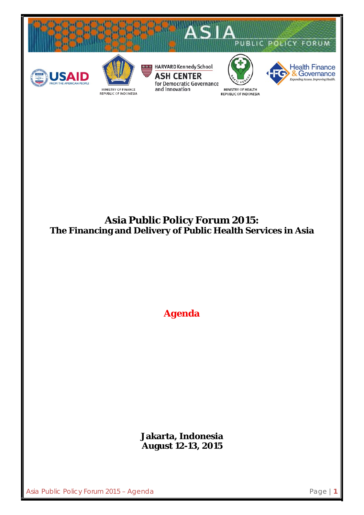

## **Asia Public Policy Forum 2015: The Financing and Delivery of Public Health Services in Asia**

*Agenda*

**Jakarta, Indonesia August 12-13, 2015**

Asia Public Policy Forum 2015 – Agenda **Page 11** Page | 1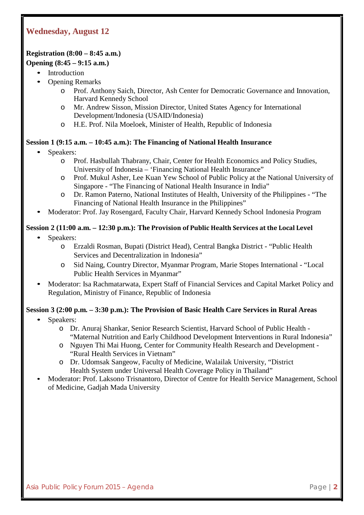## **Wednesday, August 12**

#### **Registration (8:00 – 8:45 a.m.)**

#### **Opening (8:45 – 9:15 a.m.)**

- **Introduction** 
	- Opening Remarks
		- o Prof. Anthony Saich, Director, Ash Center for Democratic Governance and Innovation, Harvard Kennedy School
		- o Mr. Andrew Sisson, Mission Director, United States Agency for International Development/Indonesia (USAID/Indonesia)
		- o H.E. Prof. Nila Moeloek, Minister of Health, Republic of Indonesia

#### **Session 1 (9:15 a.m. – 10:45 a.m.): The Financing of National Health Insurance**

- Speakers:
	- o Prof. Hasbullah Thabrany, Chair, Center for Health Economics and Policy Studies, University of Indonesia – 'Financing National Health Insurance"
	- o Prof. Mukul Asher, Lee Kuan Yew School of Public Policy at the National University of Singapore - "The Financing of National Health Insurance in India"
	- o Dr. Ramon Paterno, National Institutes of Health, University of the Philippines "The Financing of National Health Insurance in the Philippines"
- Moderator: Prof. Jay Rosengard, Faculty Chair, Harvard Kennedy School Indonesia Program

#### **Session 2 (11:00 a.m. – 12:30 p.m.): The Provision of Public Health Services at the Local Level**

- Speakers:
	- o Erzaldi Rosman, Bupati (District Head), Central Bangka District "Public Health Services and Decentralization in Indonesia"
	- o Sid Naing, Country Director, Myanmar Program, Marie Stopes International "Local Public Health Services in Myanmar"
- Moderator: Isa Rachmatarwata, Expert Staff of Financial Services and Capital Market Policy and Regulation, Ministry of Finance, Republic of Indonesia

# **Session 3 (2:00 p.m. – 3:30 p.m.): The Provision of Basic Health Care Services in Rural Areas**

- Speakers:
	- o Dr. Anuraj Shankar, Senior Research Scientist, Harvard School of Public Health "Maternal Nutrition and Early Childhood Development Interventions in Rural Indonesia"
	- o Nguyen Thi Mai Huong, Center for Community Health Research and Development "Rural Health Services in Vietnam"
	- o Dr. Udomsak Sangeow, Faculty of Medicine, Walailak University, "District Health System under Universal Health Coverage Policy in Thailand"
- Moderator: Prof. Laksono Trisnantoro, Director of Centre for Health Service Management, School of Medicine, Gadjah Mada University